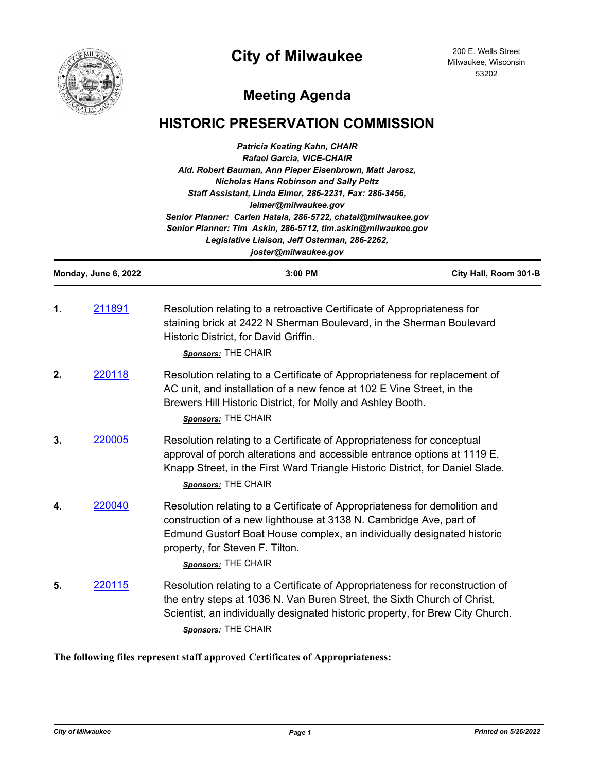



200 E. Wells Street Milwaukee, Wisconsin 53202

# **Meeting Agenda**

## **HISTORIC PRESERVATION COMMISSION**

|                      | <b>Patricia Keating Kahn, CHAIR</b><br><b>Rafael Garcia, VICE-CHAIR</b><br>Ald. Robert Bauman, Ann Pieper Eisenbrown, Matt Jarosz,<br><b>Nicholas Hans Robinson and Sally Peltz</b><br>Staff Assistant, Linda Elmer, 286-2231, Fax: 286-3456,<br>lelmer@milwaukee.gov<br>Senior Planner: Carlen Hatala, 286-5722, chatal@milwaukee.gov<br>Senior Planner: Tim Askin, 286-5712, tim.askin@milwaukee.gov<br>Legislative Liaison, Jeff Osterman, 286-2262,<br>joster@milwaukee.gov |                                                                                                                                                                                                                                                                                      |                       |  |  |
|----------------------|---------------------------------------------------------------------------------------------------------------------------------------------------------------------------------------------------------------------------------------------------------------------------------------------------------------------------------------------------------------------------------------------------------------------------------------------------------------------------------|--------------------------------------------------------------------------------------------------------------------------------------------------------------------------------------------------------------------------------------------------------------------------------------|-----------------------|--|--|
| Monday, June 6, 2022 |                                                                                                                                                                                                                                                                                                                                                                                                                                                                                 | 3:00 PM                                                                                                                                                                                                                                                                              | City Hall, Room 301-B |  |  |
| 1.                   | 211891                                                                                                                                                                                                                                                                                                                                                                                                                                                                          | Resolution relating to a retroactive Certificate of Appropriateness for<br>staining brick at 2422 N Sherman Boulevard, in the Sherman Boulevard<br>Historic District, for David Griffin.<br>Sponsors: THE CHAIR                                                                      |                       |  |  |
| 2.                   | 220118                                                                                                                                                                                                                                                                                                                                                                                                                                                                          | Resolution relating to a Certificate of Appropriateness for replacement of<br>AC unit, and installation of a new fence at 102 E Vine Street, in the<br>Brewers Hill Historic District, for Molly and Ashley Booth.<br>Sponsors: THE CHAIR                                            |                       |  |  |
| 3.                   | 220005                                                                                                                                                                                                                                                                                                                                                                                                                                                                          | Resolution relating to a Certificate of Appropriateness for conceptual<br>approval of porch alterations and accessible entrance options at 1119 E.<br>Knapp Street, in the First Ward Triangle Historic District, for Daniel Slade.<br>Sponsors: THE CHAIR                           |                       |  |  |
| 4.                   | 220040                                                                                                                                                                                                                                                                                                                                                                                                                                                                          | Resolution relating to a Certificate of Appropriateness for demolition and<br>construction of a new lighthouse at 3138 N. Cambridge Ave, part of<br>Edmund Gustorf Boat House complex, an individually designated historic<br>property, for Steven F. Tilton.<br>Sponsors: THE CHAIR |                       |  |  |
| 5.                   | 220115                                                                                                                                                                                                                                                                                                                                                                                                                                                                          | Resolution relating to a Certificate of Appropriateness for reconstruction of<br>the entry steps at 1036 N. Van Buren Street, the Sixth Church of Christ,<br>Scientist, an individually designated historic property, for Brew City Church.<br>Sponsors: THE CHAIR                   |                       |  |  |

## **The following files represent staff approved Certificates of Appropriateness:**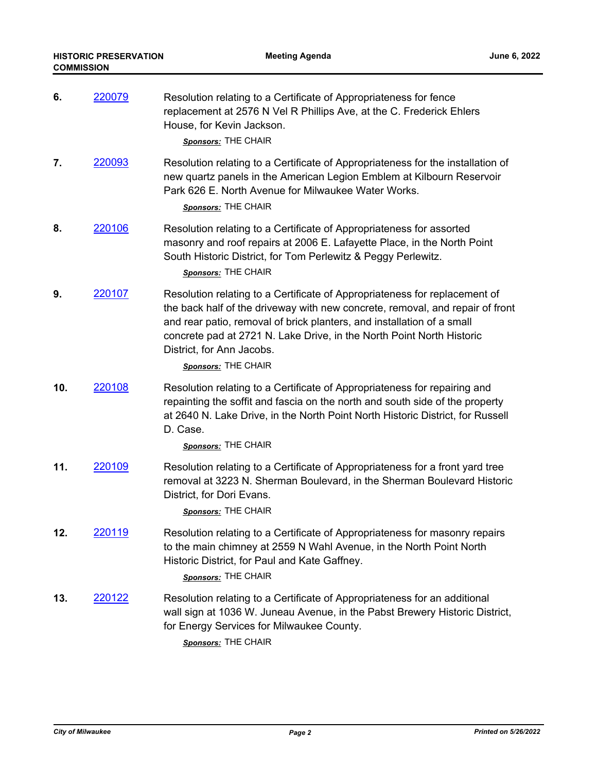| 6.  | <u> 220079</u> | Resolution relating to a Certificate of Appropriateness for fence<br>replacement at 2576 N Vel R Phillips Ave, at the C. Frederick Ehlers<br>House, for Kevin Jackson.<br>Sponsors: THE CHAIR                                                                                                                                                                      |
|-----|----------------|--------------------------------------------------------------------------------------------------------------------------------------------------------------------------------------------------------------------------------------------------------------------------------------------------------------------------------------------------------------------|
| 7.  | 220093         | Resolution relating to a Certificate of Appropriateness for the installation of<br>new quartz panels in the American Legion Emblem at Kilbourn Reservoir<br>Park 626 E. North Avenue for Milwaukee Water Works.<br>Sponsors: THE CHAIR                                                                                                                             |
| 8.  | 220106         | Resolution relating to a Certificate of Appropriateness for assorted<br>masonry and roof repairs at 2006 E. Lafayette Place, in the North Point<br>South Historic District, for Tom Perlewitz & Peggy Perlewitz.<br>Sponsors: THE CHAIR                                                                                                                            |
| 9.  | 220107         | Resolution relating to a Certificate of Appropriateness for replacement of<br>the back half of the driveway with new concrete, removal, and repair of front<br>and rear patio, removal of brick planters, and installation of a small<br>concrete pad at 2721 N. Lake Drive, in the North Point North Historic<br>District, for Ann Jacobs.<br>Sponsors: THE CHAIR |
| 10. | 220108         | Resolution relating to a Certificate of Appropriateness for repairing and<br>repainting the soffit and fascia on the north and south side of the property<br>at 2640 N. Lake Drive, in the North Point North Historic District, for Russell<br>D. Case.<br>Sponsors: THE CHAIR                                                                                     |
| 11. | 220109         | Resolution relating to a Certificate of Appropriateness for a front yard tree<br>removal at 3223 N. Sherman Boulevard, in the Sherman Boulevard Historic<br>District, for Dori Evans.<br>Sponsors: THE CHAIR                                                                                                                                                       |
| 12. | <u>220119</u>  | Resolution relating to a Certificate of Appropriateness for masonry repairs<br>to the main chimney at 2559 N Wahl Avenue, in the North Point North<br>Historic District, for Paul and Kate Gaffney.<br>Sponsors: THE CHAIR                                                                                                                                         |
| 13. | 220122         | Resolution relating to a Certificate of Appropriateness for an additional<br>wall sign at 1036 W. Juneau Avenue, in the Pabst Brewery Historic District,<br>for Energy Services for Milwaukee County.<br>Sponsors: THE CHAIR                                                                                                                                       |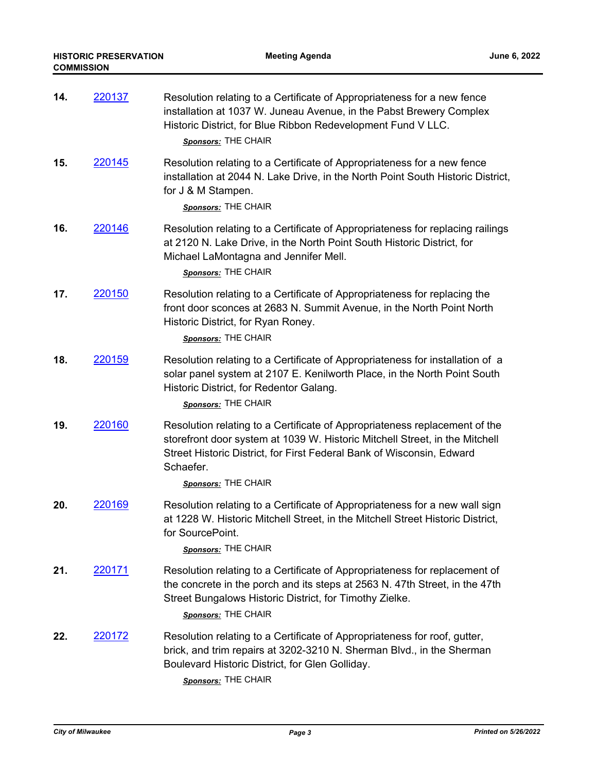| 14. | <u> 220137 </u> | Resolution relating to a Certificate of Appropriateness for a new fence<br>installation at 1037 W. Juneau Avenue, in the Pabst Brewery Complex<br>Historic District, for Blue Ribbon Redevelopment Fund V LLC.<br>Sponsors: THE CHAIR                                  |
|-----|-----------------|------------------------------------------------------------------------------------------------------------------------------------------------------------------------------------------------------------------------------------------------------------------------|
| 15. | 220145          | Resolution relating to a Certificate of Appropriateness for a new fence<br>installation at 2044 N. Lake Drive, in the North Point South Historic District,<br>for J & M Stampen.<br>Sponsors: THE CHAIR                                                                |
| 16. | 220146          | Resolution relating to a Certificate of Appropriateness for replacing railings<br>at 2120 N. Lake Drive, in the North Point South Historic District, for<br>Michael LaMontagna and Jennifer Mell.<br>Sponsors: THE CHAIR                                               |
| 17. | 220150          | Resolution relating to a Certificate of Appropriateness for replacing the<br>front door sconces at 2683 N. Summit Avenue, in the North Point North<br>Historic District, for Ryan Roney.<br>Sponsors: THE CHAIR                                                        |
| 18. | 220159          | Resolution relating to a Certificate of Appropriateness for installation of a<br>solar panel system at 2107 E. Kenilworth Place, in the North Point South<br>Historic District, for Redentor Galang.<br>Sponsors: THE CHAIR                                            |
| 19. | 220160          | Resolution relating to a Certificate of Appropriateness replacement of the<br>storefront door system at 1039 W. Historic Mitchell Street, in the Mitchell<br>Street Historic District, for First Federal Bank of Wisconsin, Edward<br>Schaefer.<br>Sponsors: THE CHAIR |
| 20. | 220169          | Resolution relating to a Certificate of Appropriateness for a new wall sign<br>at 1228 W. Historic Mitchell Street, in the Mitchell Street Historic District,<br>for SourcePoint.<br>Sponsors: THE CHAIR                                                               |
| 21. | <u> 220171</u>  | Resolution relating to a Certificate of Appropriateness for replacement of<br>the concrete in the porch and its steps at 2563 N. 47th Street, in the 47th<br>Street Bungalows Historic District, for Timothy Zielke.<br>Sponsors: THE CHAIR                            |
| 22. | 220172          | Resolution relating to a Certificate of Appropriateness for roof, gutter,<br>brick, and trim repairs at 3202-3210 N. Sherman Blvd., in the Sherman<br>Boulevard Historic District, for Glen Golliday.<br>Sponsors: THE CHAIR                                           |